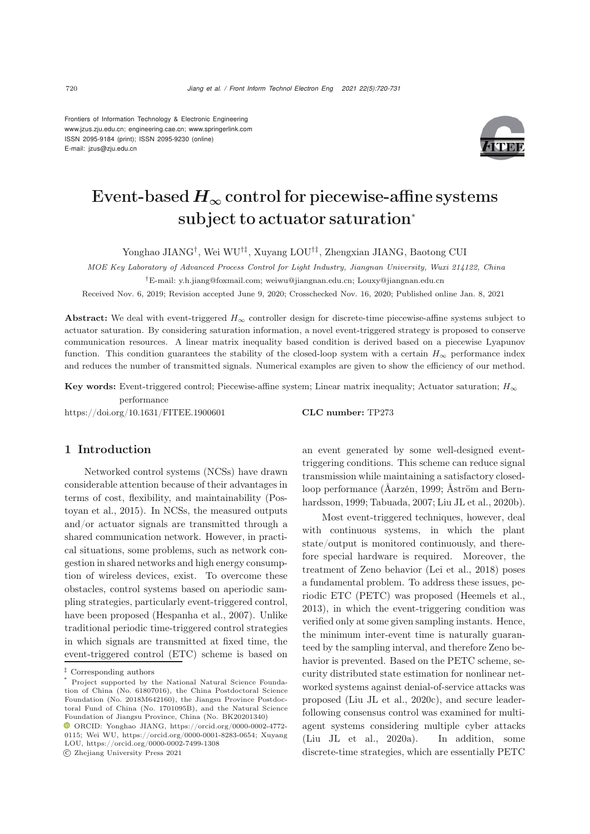Frontiers of Information Technology & Electronic Engineering [www.jzus.zju.edu.cn;](www.jzus.zju.edu.cn) [engineering.cae.cn;](engineering.cae.cn)<www.springerlink.com> ISSN 2095-9184 (print); ISSN 2095-9230 (online) E-mail: jzus@zju.edu.cn



# Event-based  $H_{\infty}$  control for piecewise-affine systems subject to actuator saturation<sup>∗</sup>

Yonghao JIANG†, Wei WU†‡, Xuyang LOU†‡, Zhengxian JIANG, Baotong CUI

*MOE Key Laboratory of Advanced Process Control for Light Industry, Jiangnan University, Wuxi 214122, China* †E-mail: y.h.jiang@foxmail.com; weiwu@jiangnan.edu.cn; Louxy@jiangnan.edu.cn

Received Nov. 6, 2019; Revision accepted June 9, 2020; Crosschecked Nov. 16, 2020; Published online Jan. 8, 2021

Abstract: We deal with event-triggered  $H_{\infty}$  controller design for discrete-time piecewise-affine systems subject to actuator saturation. By considering saturation information, a novel event-triggered strategy is proposed to conserve communication resources. A linear matrix inequality based condition is derived based on a piecewise Lyapunov function. This condition guarantees the stability of the closed-loop system with a certain  $H_{\infty}$  performance index and reduces the number of transmitted signals. Numerical examples are given to show the efficiency of our method.

Key words: Event-triggered control; Piecewise-affine system; Linear matrix inequality; Actuator saturation;  $H_{\infty}$ performance

https://doi.org/10.1631/FITEE.1900601 CLC number: TP273

# 1 Introduction

Networked control systems (NCSs) have drawn considerable attention because of their advantages in terms of c[ost,](#page-10-0) [flexibility,](#page-10-0) [and](#page-10-0) [maintainability](#page-10-0) [\(](#page-10-0)Postoyan et al., [2015\)](#page-10-0). In NCSs, the measured outputs and/or actuator signals are transmitted through a shared communication network. However, in practical situations, some problems, such as network congestion in shared networks and high energy consumption of wireless devices, exist. To overcome these obstacles, control systems based on aperiodic sampling strategies, particularly event-triggered control, have been proposed [\(Hespanha et al.](#page-10-1), [2007](#page-10-1)). Unlike traditional periodic time-triggered control strategies in which signals are transmitted at fixed time, the event-triggered control (ETC) scheme is based on

c Zhejiang University Press 2021

an event generated by some well-designed eventtriggering conditions. This scheme can reduce signal transmission while maintaining a satisfactory closedloop per[formance](#page-9-1) [\(Åarzén](#page-9-0)[,](#page-9-1) [1999](#page-9-0)[;](#page-9-1) Åström and Bernhardsson, [1999;](#page-9-1) [Tabuada](#page-10-2), [2007;](#page-10-2) [Liu JL et al., 2020b\)](#page-10-3).

Most event-triggered techniques, however, deal with continuous systems, in which the plant state/output is monitored continuously, and therefore special hardware is required. Moreover, the treatment of Zeno behavior [\(Lei et al.](#page-10-4), [2018\)](#page-10-4) poses a fundamental problem. To address these issues, periodic ETC (PETC) was proposed [\(Heemels et al.](#page-10-5), [2013](#page-10-5)), in which the event-triggering condition was verified only at some given sampling instants. Hence, the minimum inter-event time is naturally guaranteed by the sampling interval, and therefore Zeno behavior is prevented. Based on the PETC scheme, security distributed state estimation for nonlinear networked systems against denial-of-service attacks was proposed [\(Liu JL et al.](#page-10-6), [2020c\)](#page-10-6), and secure leaderfollowing consensus control was examined for multiagent systems considering multiple cyber attacks [\(Liu JL et al.](#page-10-7), [2020a](#page-10-7)). In addition, some discrete-time strategies, which are essentially PETC

<sup>‡</sup> Corresponding authors

Project supported by the National Natural Science Foundation of China (No. 61807016), the China Postdoctoral Science Foundation (No. 2018M642160), the Jiangsu Province Postdoctoral Fund of China (No. 1701095B), and the Natural Science Foundation of Jiangsu Province, China (No. BK20201340)

ORCID: Yonghao JIANG, https://orcid.org/0000-0002-4772- 0115; Wei WU, https://orcid.org/0000-0001-8283-0654; Xuyang LOU, https://orcid.org/0000-0002-7499-1308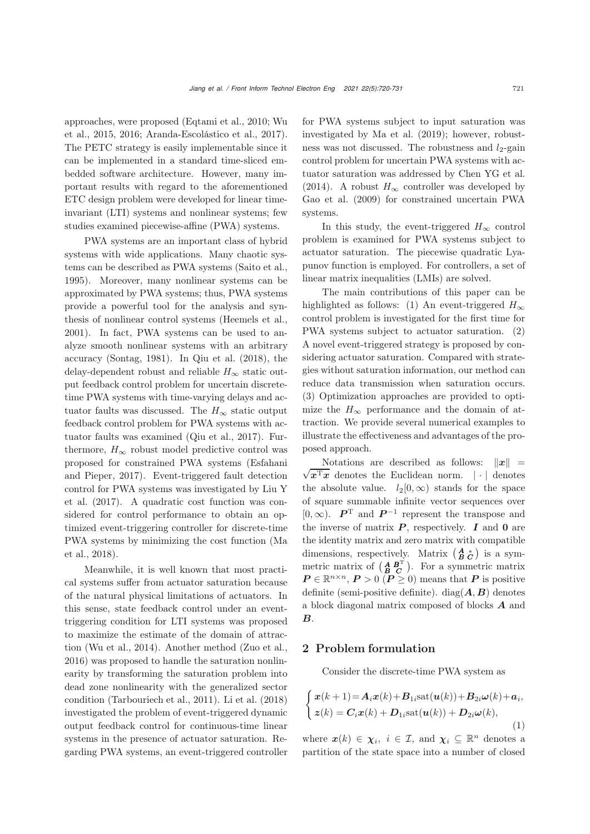appr[oaches,](#page-11-0) [were](#page-11-0) [proposed](#page-11-0) [\(Eqtami et al.](#page-10-8)[,](#page-11-0) [2010](#page-10-8)[;](#page-11-0) Wu et al., [2015](#page-11-0), [2016;](#page-11-1) [Aranda-Escolástico et al.](#page-9-2), [2017\)](#page-9-2). The PETC strategy is easily implementable since it can be implemented in a standard time-sliced embedded software architecture. However, many important results with regard to the aforementioned ETC design problem were developed for linear timeinvariant (LTI) systems and nonlinear systems; few studies examined piecewise-affine (PWA) systems.

PWA systems are an important class of hybrid systems with wide applications. Many chaotic systems can be described as PWA systems [\(Saito et al.](#page-10-9), [1995](#page-10-9)). Moreover, many nonlinear systems can be approximated by PWA systems; thus, PWA systems provide a powerful tool for the analysis and synthesis of nonlinear control systems [\(Heemels et al.](#page-10-10), [2001](#page-10-10)). In fact, PWA systems can be used to analyze smooth nonlinear systems with an arbitrary accuracy [\(Sontag, 1981\)](#page-10-11). In [Qiu et al.](#page-10-12) [\(2018\)](#page-10-12), the delay-dependent robust and reliable  $H_{\infty}$  static output feedback control problem for uncertain discretetime PWA systems with time-varying delays and actuator faults was discussed. The  $H_{\infty}$  static output feedback control problem for PWA systems with actuator faults was examined [\(Qiu et al.](#page-10-13), [2017\)](#page-10-13). Furthermore,  $H_{\infty}$  robust model predictive control was proposed f[or](#page-10-14) [constrained](#page-10-14) [PWA](#page-10-14) [systems](#page-10-14) [\(](#page-10-14)Esfahani and Pieper, [2017\)](#page-10-14). Event-triggered fault detection contr[ol](#page-10-15) [for](#page-10-15) [PWA](#page-10-15) [systems](#page-10-15) [was](#page-10-15) [investigated](#page-10-15) [by](#page-10-15) Liu Y et al. [\(2017](#page-10-15)). A quadratic cost function was considered for control performance to obtain an optimized event-triggering controller for discrete-time PW[A](#page-10-16) [systems](#page-10-16) [by](#page-10-16) [minimizing](#page-10-16) [the](#page-10-16) [cost](#page-10-16) [function](#page-10-16) [\(](#page-10-16)Ma et al., [2018\)](#page-10-16).

Meanwhile, it is well known that most practical systems suffer from actuator saturation because of the natural physical limitations of actuators. In this sense, state feedback control under an eventtriggering condition for LTI systems was proposed to maximize the estimate of the domain of attraction [\(Wu et al., 2014\)](#page-11-2). Another method [\(Zuo et al.](#page-11-3), [2016](#page-11-3)) was proposed to handle the saturation nonlinearity by transforming the saturation problem into dead zone nonlinearity with the generalized sector condition [\(Tarbouriech et al.](#page-11-4), [2011](#page-11-4)). [Li et al.](#page-10-17) [\(2018](#page-10-17)) investigated the problem of event-triggered dynamic output feedback control for continuous-time linear systems in the presence of actuator saturation. Regarding PWA systems, an event-triggered controller for PWA systems subject to input saturation was investigated by [Ma et al.](#page-10-18) [\(2019\)](#page-10-18); however, robustness was not discussed. The robustness and  $l_2$ -gain control problem for uncertain PWA systems with actuator saturation was addressed by [Chen YG et al.](#page-10-19) [\(2014](#page-10-19)). A robust  $H_{\infty}$  controller was developed by [Gao et al.](#page-10-20) [\(2009\)](#page-10-20) for constrained uncertain PWA systems.

In this study, the event-triggered  $H_{\infty}$  control problem is examined for PWA systems subject to actuator saturation. The piecewise quadratic Lyapunov function is employed. For controllers, a set of linear matrix inequalities (LMIs) are solved.

The main contributions of this paper can be highlighted as follows: (1) An event-triggered  $H_{\infty}$ control problem is investigated for the first time for PWA systems subject to actuator saturation. (2) A novel event-triggered strategy is proposed by considering actuator saturation. Compared with strategies without saturation information, our method can reduce data transmission when saturation occurs. (3) Optimization approaches are provided to optimize the  $H_{\infty}$  performance and the domain of attraction. We provide several numerical examples to illustrate the effectiveness and advantages of the proposed approach.

Notations are described as follows:  $\Vert x \Vert$ *x*<sup>T</sup>*x*</sub> denotes the Euclidean norm. | · | denotes the absolute value.  $l_2[0,\infty)$  stands for the space of square summable infinite vector sequences over [0,  $\infty$ ).  $\mathbf{P}^{\mathrm{T}}$  and  $\mathbf{P}^{-1}$  represent the transpose and the inverse of matrix  $P$ , respectively.  $I$  and  $0$  are the identity matrix and zero matrix with compatible dimensions, respectively. Matrix  $\begin{pmatrix} A & * \\ B & C \end{pmatrix}$  is a symmetric matrix of  $\begin{pmatrix} A & B^T \\ B & C \end{pmatrix}$ . For a symmetric matrix  $P \in \mathbb{R}^{n \times n}$ ,  $P > 0$  ( $P \ge 0$ ) means that *P* is positive definite (semi-positive definite). diag $(A, B)$  denotes a block diagonal matrix composed of blocks *A* and *B*.

# 2 Problem formulation

Consider the discrete-time PWA system as

<span id="page-1-0"></span>
$$
\begin{cases}\n\boldsymbol{x}(k+1) = \boldsymbol{A}_i \boldsymbol{x}(k) + \boldsymbol{B}_{1i} \text{sat}(\boldsymbol{u}(k)) + \boldsymbol{B}_{2i} \boldsymbol{\omega}(k) + \boldsymbol{a}_i, \\
\boldsymbol{z}(k) = \boldsymbol{C}_i \boldsymbol{x}(k) + \boldsymbol{D}_{1i} \text{sat}(\boldsymbol{u}(k)) + \boldsymbol{D}_{2i} \boldsymbol{\omega}(k),\n\end{cases}
$$
\n(1)

where  $x(k) \in \chi_i$ ,  $i \in \mathcal{I}$ , and  $\chi_i \subseteq \mathbb{R}^n$  denotes a partition of the state space into a number of closed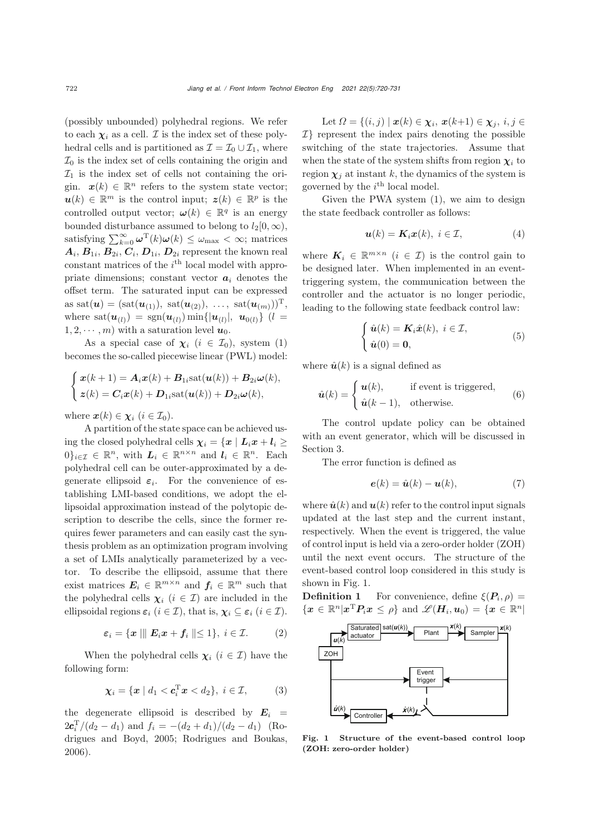(possibly unbounded) polyhedral regions. We refer to each  $\chi_i$  as a cell. *I* is the index set of these polyhedral cells and is partitioned as  $\mathcal{I} = \mathcal{I}_0 \cup \mathcal{I}_1$ , where  $\mathcal{I}_0$  is the index set of cells containing the origin and  $\mathcal{I}_1$  is the index set of cells not containing the origin.  $x(k) \in \mathbb{R}^n$  refers to the system state vector;  $u(k) \in \mathbb{R}^m$  is the control input;  $z(k) \in \mathbb{R}^p$  is the controlled output vector;  $\omega(k) \in \mathbb{R}^q$  is an energy bounded disturbance assumed to belong to  $l_2[0, \infty)$ , satisfying  $\sum_{k=0}^{\infty} \omega^{T}(k) \omega(k) \leq \omega_{\text{max}} < \infty$ ; matrices  $A_i$ ,  $B_{1i}$ ,  $B_{2i}$ ,  $C_i$ ,  $D_{1i}$ ,  $D_{2i}$  represent the known real constant matrices of the  $i<sup>th</sup>$  local model with appropriate dimensions; constant vector  $a_i$  denotes the offset term. The saturated input can be expressed as sat $(\bm{u}) = (\text{sat}(\bm{u}_{(1)}), \ \text{sat}(\bm{u}_{(2)}), \ \ldots, \ \text{sat}(\bm{u}_{(m)}))^{\mathrm{T}},$ where  $\text{sat}(\bm{u}_{(l)}) = \text{sgn}(\bm{u}_{(l)}) \min\{|\bm{u}_{(l)}|, \bm{u}_{0(l)}\}$  (*l* =  $1, 2, \cdots, m$  with a saturation level  $u_0$ .

As a special case of  $\chi_i$  ( $i \in \mathcal{I}_0$ ), system [\(1\)](#page-1-0) becomes the so-called piecewise linear (PWL) model:

$$
\begin{cases}\n\boldsymbol{x}(k+1) = \boldsymbol{A}_i \boldsymbol{x}(k) + \boldsymbol{B}_{1i} \text{sat}(\boldsymbol{u}(k)) + \boldsymbol{B}_{2i} \boldsymbol{\omega}(k), \\
\boldsymbol{z}(k) = \boldsymbol{C}_i \boldsymbol{x}(k) + \boldsymbol{D}_{1i} \text{sat}(\boldsymbol{u}(k)) + \boldsymbol{D}_{2i} \boldsymbol{\omega}(k),\n\end{cases}
$$

where  $\mathbf{x}(k) \in \chi_i$  ( $i \in \mathcal{I}_0$ ).

A partition of the state space can be achieved using the closed polyhedral cells  $\chi_i = \{x \mid L_i x + l_i \geq$  $0\}_{i\in\mathcal{I}} \in \mathbb{R}^n$ , with  $L_i \in \mathbb{R}^{n \times n}$  and  $l_i \in \mathbb{R}^n$ . Each polyhedral cell can be outer-approximated by a degenerate ellipsoid  $\varepsilon_i$ . For the convenience of establishing LMI-based conditions, we adopt the ellipsoidal approximation instead of the polytopic description to describe the cells, since the former requires fewer parameters and can easily cast the synthesis problem as an optimization program involving a set of LMIs analytically parameterized by a vector. To describe the ellipsoid, assume that there exist matrices  $E_i \in \mathbb{R}^{m \times n}$  and  $f_i \in \mathbb{R}^m$  such that the polyhedral cells  $\chi_i$  ( $i \in \mathcal{I}$ ) are included in the ellipsoidal regions  $\varepsilon_i$  ( $i \in \mathcal{I}$ ), that is,  $\chi_i \subseteq \varepsilon_i$  ( $i \in \mathcal{I}$ ).

<span id="page-2-3"></span>
$$
\varepsilon_i = \{ \boldsymbol{x} \mid \parallel \boldsymbol{E}_i \boldsymbol{x} + \boldsymbol{f}_i \parallel \leq 1 \}, \ i \in \mathcal{I}.
$$
 (2)

When the polyhedral cells  $\chi_i$  ( $i \in \mathcal{I}$ ) have the following form:

$$
\boldsymbol{\chi}_i = \{ \boldsymbol{x} \mid d_1 < \boldsymbol{c}_i^{\mathrm{T}} \boldsymbol{x} < d_2 \}, \ i \in \mathcal{I}, \tag{3}
$$

the degenerate ellipsoid is described by  $E_i =$  $2c_i^T/(d_2 - d_1)$  and  $f_i = -(d_2 + d_1)/(d_2 - d_1)$  $f_i = -(d_2 + d_1)/(d_2 - d_1)$  $f_i = -(d_2 + d_1)/(d_2 - d_1)$  (Ro-<br>discuss and Boyd 2005; Bedrieuse and Boyles drigues and Boyd, [2005;](#page-10-21) [Rodrigues and Boukas,](#page-10-22) [2006](#page-10-22)).

Let  $\Omega = \{(i, j) \mid \mathbf{x}(k) \in \chi_i, \mathbf{x}(k+1) \in \chi_j, i, j \in$  $\mathcal{I}$  represent the index pairs denoting the possible switching of the state trajectories. Assume that when the state of the system shifts from region  $\chi_i$  to region  $\chi_i$  at instant k, the dynamics of the system is governed by the  $i<sup>th</sup>$  local model.

Given the PWA system [\(1\)](#page-1-0), we aim to design the state feedback controller as follows:

<span id="page-2-1"></span>
$$
\boldsymbol{u}(k) = \boldsymbol{K}_i \boldsymbol{x}(k), \ i \in \mathcal{I}, \tag{4}
$$

where  $K_i \in \mathbb{R}^{m \times n}$  ( $i \in \mathcal{I}$ ) is the control gain to be designed later. When implemented in an eventtriggering system, the communication between the controller and the actuator is no longer periodic, leading to the following state feedback control law:

<span id="page-2-4"></span>
$$
\begin{cases} \hat{\boldsymbol{u}}(k) = \boldsymbol{K}_i \hat{\boldsymbol{x}}(k), \ i \in \mathcal{I}, \\ \hat{\boldsymbol{u}}(0) = \boldsymbol{0}, \end{cases}
$$
 (5)

where  $\hat{u}(k)$  is a signal defined as

<span id="page-2-2"></span>
$$
\hat{u}(k) = \begin{cases} u(k), & \text{if event is triggered,} \\ \hat{u}(k-1), & \text{otherwise.} \end{cases}
$$
 (6)

The control update policy can be obtained with an event generator, which will be discussed in Section [3.](#page-3-0)

The error function is defined as

$$
\mathbf{e}(k) = \hat{\mathbf{u}}(k) - \mathbf{u}(k),\tag{7}
$$

where  $\hat{u}(k)$  and  $u(k)$  refer to the control input signals updated at the last step and the current instant, respectively. When the event is triggered, the value of control input is held via a zero-order holder (ZOH) until the next event occurs. The structure of the event-based control loop considered in this study is shown in Fig. [1.](#page-2-0)

**Definition 1** For convenience, define  $\xi(P_i, \rho)$  =  $\{x \in \mathbb{R}^n | x^{\mathrm{T}} P_i x \leq \rho\}$  and  $\mathscr{L}(H_i, u_0) = \{x \in \mathbb{R}^n |$ 



<span id="page-2-0"></span>Fig. 1 Structure of the event-based control loop (ZOH: zero-order holder)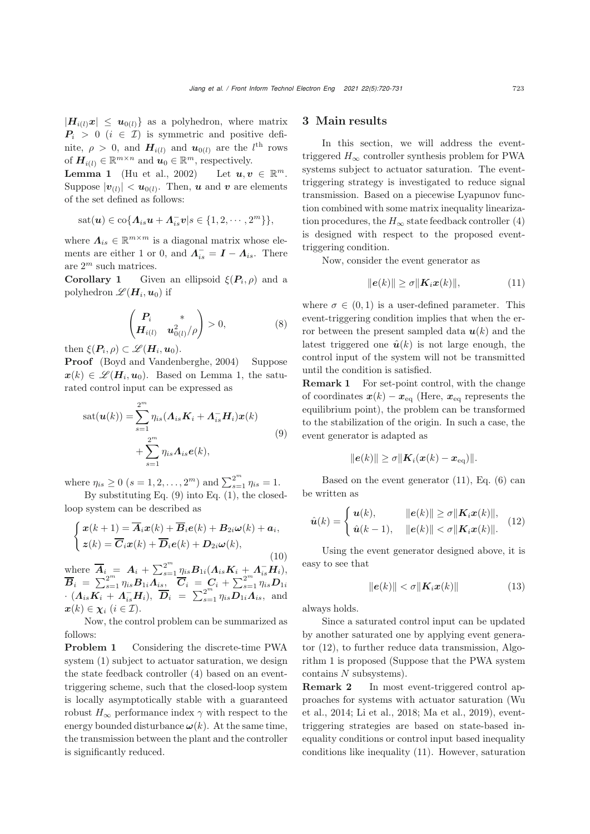$|H_{i(l)}x| \leq u_{0(l)}$  as a polyhedron, where matrix  $P_i > 0$  (i  $\in \mathcal{I}$ ) is symmetric and positive definite,  $\rho > 0$ , and  $H_{i(l)}$  and  $u_{0(l)}$  are the *l*<sup>th</sup> rows<br>of  $H_{i(l)} \subset \mathbb{R}^{m \times n}$  and  $u_l \subset \mathbb{R}^m$  reconoctively of  $\mathbf{H}_{i(l)} \in \mathbb{R}^{m \times n}$  and  $\mathbf{u}_0 \in \mathbb{R}^m$ , respectively.

**Lemma 1** [\(Hu et al., 2002](#page-10-23)) Let  $u, v \in \mathbb{R}^m$ . Suppose  $|\boldsymbol{v}_{(l)}| < \boldsymbol{u}_{0(l)}$ . Then, *u* and *v* are elements of the set defined as follows:

$$
sat(\boldsymbol{u})\in\mathrm{co}\{\boldsymbol{\varLambda}_{is}\boldsymbol{u}+\boldsymbol{\varLambda}_{is}^{-}\boldsymbol{v}|s\in\{1,2,\cdots,2^{m}\}\},
$$

where  $\Lambda_{is} \in \mathbb{R}^{m \times m}$  is a diagonal matrix whose elements are either 1 or 0, and  $\Lambda_{is}^- = I - \Lambda_{is}$ . There are  $2^m$  such matrices.<br>Corollary 1 Give

Given an ellipsoid  $\xi(P_i, \rho)$  and a polyhedron  $\mathscr{L}(\boldsymbol{H}_i, \boldsymbol{u}_0)$  if

<span id="page-3-6"></span>
$$
\begin{pmatrix} \boldsymbol{P}_i & * \\ \boldsymbol{H}_{i(l)} & \boldsymbol{u}_{0(l)}^2/\rho \end{pmatrix} > 0,\tag{8}
$$

then  $\xi(P_i, \rho) \subset \mathscr{L}(H_i, u_0)$ .

Proof [\(Boyd and Vandenberghe](#page-10-24), [2004](#page-10-24)) Suppose  $x(k) \in \mathscr{L}(H_i, u_0)$ . Based on Lemma 1, the saturated control input can be expressed as

<span id="page-3-1"></span>
$$
sat(\boldsymbol{u}(k)) = \sum_{s=1}^{2^m} \eta_{is} (\boldsymbol{\Lambda}_{is} \boldsymbol{K}_i + \boldsymbol{\Lambda}_{is}^- \boldsymbol{H}_i) \boldsymbol{x}(k) + \sum_{s=1}^{2^m} \eta_{is} \boldsymbol{\Lambda}_{is} \boldsymbol{e}(k),
$$
\n(9)

where  $\eta_{is} \ge 0$   $(s = 1, 2, ..., 2^m)$  and  $\sum_{s=1}^{2^m} \eta_{is} = 1$ .<br>By substituting Eq. (0) into Eq. (1), the elector

By substituting Eq. [\(9\)](#page-3-1) into Eq. [\(1\)](#page-1-0), the closedloop system can be described as

<span id="page-3-4"></span>
$$
\begin{cases}\n\boldsymbol{x}(k+1) = \overline{\boldsymbol{A}}_i \boldsymbol{x}(k) + \overline{\boldsymbol{B}}_i \boldsymbol{e}(k) + \boldsymbol{B}_{2i} \boldsymbol{\omega}(k) + \boldsymbol{a}_i, \\
\boldsymbol{z}(k) = \overline{\boldsymbol{C}}_i \boldsymbol{x}(k) + \overline{\boldsymbol{D}}_i \boldsymbol{e}(k) + \boldsymbol{D}_{2i} \boldsymbol{\omega}(k),\n\end{cases}
$$

(10) where  $\overline{A}_i = A_i + \sum_{s=1}^{2^m} \eta_{is} B_{1i} (A_{is} K_i + A_{is}^- H_i),$ <br>  $\overline{B}_i = \sum_{s=1}^{2^m} B_{i,s} A_s + \overline{C}_i = C_{i,s} + \sum_{s=1}^{2^m} B_{i,s} D_{s}$  $\overline{B}_i = \sum_{s=1}^{2^m} \eta_{is} B_{1i} \overline{\Lambda}_{is}$ ,  $\overline{C}_i = C_i + \sum_{s=1}^{2^m} \eta_{is} D_{1i}$ <br>  $\overline{A} = \overline{K} + \overline{A} = \overline{H} + \overline{H} + \overline{H} = \overline{K} + \overline{H} + \overline{H} + \overline{H} + \overline{H}$  $\cdot (\Lambda_{is} K_i + \Lambda_{is}^- H_i), \ \overline{D}_i = \sum_{s=1}^{2^m} \eta_{is} \overline{D}_{1i} \overline{\Lambda}_{is}$ , and  $\mathbf{x}(k) \in \chi_i \ (i \in \mathcal{I}).$ 

Now, the control problem can be summarized as follows:

Problem 1 Considering the discrete-time PWA system [\(1\)](#page-1-0) subject to actuator saturation, we design the state feedback controller [\(4\)](#page-2-1) based on an eventtriggering scheme, such that the closed-loop system is locally asymptotically stable with a guaranteed robust  $H_{\infty}$  performance index  $\gamma$  with respect to the energy bounded disturbance  $\omega(k)$ . At the same time, the transmission between the plant and the controller is significantly reduced.

### <span id="page-3-0"></span>3 Main results

In this section, we will address the eventtriggered  $H_{\infty}$  controller synthesis problem for PWA systems subject to actuator saturation. The eventtriggering strategy is investigated to reduce signal transmission. Based on a piecewise Lyapunov function combined with some matrix inequality linearization procedures, the  $H_{\infty}$  state feedback controller [\(4\)](#page-2-1) is designed with respect to the proposed eventtriggering condition.

Now, consider the event generator as

<span id="page-3-2"></span>
$$
\|\boldsymbol{e}(k)\| \ge \sigma \|\boldsymbol{K}_i \boldsymbol{x}(k)\|,\tag{11}
$$

where  $\sigma \in (0,1)$  is a user-defined parameter. This event-triggering condition implies that when the error between the present sampled data  $u(k)$  and the latest triggered one  $\hat{u}(k)$  is not large enough, the control input of the system will not be transmitted until the condition is satisfied.

Remark 1 For set-point control, with the change of coordinates  $x(k) - x_{eq}$  (Here,  $x_{eq}$  represents the equilibrium point), the problem can be transformed to the stabilization of the origin. In such a case, the event generator is adapted as

$$
\|\boldsymbol{e}(k)\| \geq \sigma \|\boldsymbol{K}_i(\boldsymbol{x}(k)-\boldsymbol{x}_{\mathrm{eq}})\|.
$$

Based on the event generator  $(11)$ , Eq.  $(6)$  can be written as

<span id="page-3-3"></span>
$$
\hat{\boldsymbol{u}}(k) = \begin{cases} \boldsymbol{u}(k), & \|e(k)\| \ge \sigma \| \boldsymbol{K}_i \boldsymbol{x}(k) \|, \\ \hat{\boldsymbol{u}}(k-1), & \|e(k)\| < \sigma \| \boldsymbol{K}_i \boldsymbol{x}(k) \|. \end{cases} \tag{12}
$$

Using the event generator designed above, it is easy to see that

<span id="page-3-5"></span>
$$
\|\boldsymbol{e}(k)\| < \sigma \|\boldsymbol{K}_i \boldsymbol{x}(k)\| \tag{13}
$$

always holds.

Since a saturated control input can be updated by another saturated one by applying event generator [\(12\)](#page-3-3), to further reduce data transmission, Algorithm 1 is proposed (Suppose that the PWA system contains N subsystems).

Remark 2 In most event-triggered control approa[ches](#page-11-2) [for](#page-11-2) [systems](#page-11-2) [with](#page-11-2) [actuator](#page-11-2) [saturation](#page-11-2) [\(](#page-11-2)Wu et al., [2014;](#page-11-2) [Li et al., 2018](#page-10-17); [Ma et al.](#page-10-18), [2019\)](#page-10-18), eventtriggering strategies are based on state-based inequality conditions or control input based inequality conditions like inequality [\(11\)](#page-3-2). However, saturation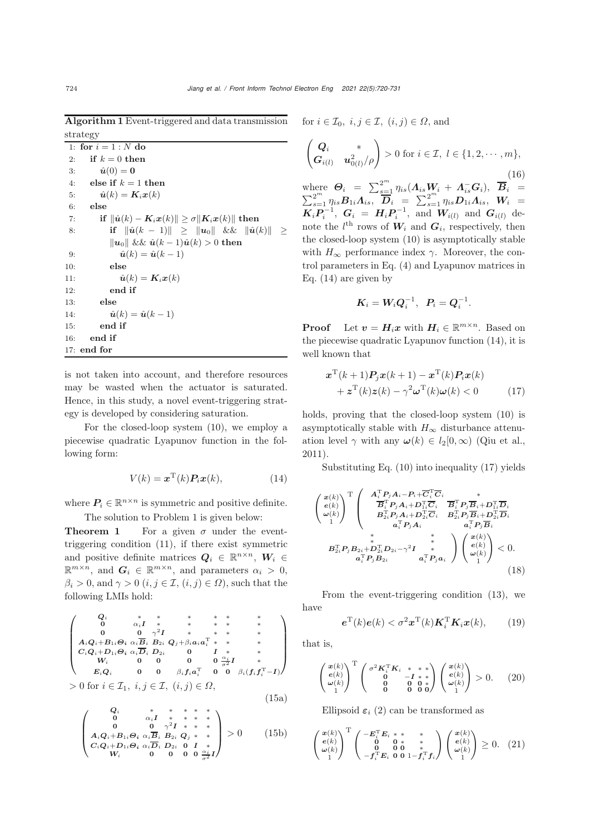Algorithm 1 Event-triggered and data transmission strategy

```
1: for i = 1:N do
 2: if k = 0 then
 3: \hat{u}(0) = 04: else if k = 1 then
 5: \hat{u}(k) = K_i x(k)6: else
 7: if \|\hat{\boldsymbol{u}}(k) - \boldsymbol{K}_i\boldsymbol{x}(k)\| \geq \sigma \|\boldsymbol{K}_i\boldsymbol{x}(k)\| then
 8: if \|\hat{\mathbf{u}}(k-1)\| \geq \|\mathbf{u}_0\| \&\& \| \hat{\mathbf{u}}(k) \| ≥
                \|\boldsymbol{u}_0\| && \hat{\boldsymbol{u}}(k-1)\hat{\boldsymbol{u}}(k) > 0 then
9: \hat{u}(k) = \hat{u}(k-1)<br>10: else
               else
11: \hat{\mathbf{u}}(k) = \mathbf{K}_i \mathbf{x}(k)12: end if
13: else
14: \hat{u}(k) = \hat{u}(k-1)15: end if
16: end if
17: end for
```
is not taken into account, and therefore resources may be wasted when the actuator is saturated. Hence, in this study, a novel event-triggering strategy is developed by considering saturation.

For the closed-loop system [\(10\)](#page-3-4), we employ a piecewise quadratic Lyapunov function in the following form:

<span id="page-4-0"></span>
$$
V(k) = \boldsymbol{x}^{\mathrm{T}}(k)\boldsymbol{P}_i\boldsymbol{x}(k),\tag{14}
$$

where  $P_i \in \mathbb{R}^{n \times n}$  is symmetric and positive definite. The solution to Problem 1 is given below:

**Theorem 1** For a given  $\sigma$  under the eventtriggering condition [\(11\)](#page-3-2), if there exist symmetric and positive definite matrices  $Q_i \in \mathbb{R}^{n \times n}$ ,  $W_i \in$  $\mathbb{R}^{m \times n}$ , and  $G_i \in \mathbb{R}^{m \times n}$ , and parameters  $\alpha_i > 0$ ,  $\beta_i > 0$ , and  $\gamma > 0$   $(i, j \in \mathcal{I}, (i, j) \in \Omega)$ , such that the following LMIs hold:

<span id="page-4-5"></span>
$$
\begin{pmatrix}\nQ_i & * & * & * & * & * & * & * \\
0 & \alpha_i I & * & * & * & * & * & * \\
A_i Q_i + B_{1i} \Theta_i & \alpha_i \overline{B}_i & B_{2i} & Q_j + \beta_i a_i a_i^T & * & * & * \\
C_i Q_i + D_{1i} \Theta_i & \alpha_i \overline{D}_i & D_{2i} & 0 & I & * & * \\
W_i & 0 & 0 & 0 & 0 & \frac{\alpha_i}{\sigma^2} I & * \\
E_i Q_i & 0 & 0 & \beta_i f_i a_i^T & 0 & 0 & \beta_i (f_i f_i^T - I)\n\end{pmatrix}
$$
\n
$$
> 0 \text{ for } i \in \mathcal{I}_1, \ i, j \in \mathcal{I}, \ (i, j) \in \Omega,
$$
\n(15a)

<span id="page-4-6"></span>
$$
\begin{pmatrix}\nQ_i & * & * & * & * & * \\
0 & \alpha_i I & * & * & * & * \\
0 & 0 & \gamma^2 I & * & * & * \\
A_i Q_i + B_{1i} \Theta_i & \alpha_i \overline{B}_i & B_{2i} & Q_j & * & * \\
C_i Q_i + D_{1i} \Theta_i & \alpha_i \overline{D}_i & D_{2i} & 0 & I & * \\
W_i & 0 & 0 & 0 & 0 & \frac{\alpha_i}{2}I\n\end{pmatrix} > 0
$$
\n(15b)

for  $i \in \mathcal{I}_0, i, j \in \mathcal{I}, (i, j) \in \Omega$ , and

<span id="page-4-7"></span>
$$
\begin{pmatrix}\n\mathbf{Q}_i & * \\
\mathbf{G}_{i(l)} & \mathbf{u}_{0(l)}^2/\rho\n\end{pmatrix} > 0 \text{ for } i \in \mathcal{I}, l \in \{1, 2, \dots, m\},
$$
\nwhere\n
$$
\mathbf{\Theta}_i = \sum_{s=1}^{2^m} \eta_{is} (\mathbf{\Lambda}_{is} \mathbf{W}_i + \mathbf{\Lambda}_{is}^- \mathbf{G}_i), \overline{\mathbf{B}}_i =
$$
\n
$$
\sum_{s=1}^{2^m} \eta_{is} \mathbf{B}_{1i} \mathbf{\Lambda}_{is}, \overline{\mathbf{D}}_i = \sum_{s=1}^{2^m} \eta_{is} \mathbf{D}_{1i} \mathbf{\Lambda}_{is}, \mathbf{W}_i =
$$
\n
$$
\mathbf{K}_i \mathbf{P}_i^{-1}, \mathbf{G}_i = \mathbf{H}_i \mathbf{P}_i^{-1}, \text{ and } \mathbf{W}_{i(l)} \text{ and } \mathbf{G}_{i(l)} \text{ denote the } l^{\text{th}} \text{ rows of } \mathbf{W}_i \text{ and } \mathbf{G}_i \text{, respectively, then}
$$

the closed-loop system [\(10\)](#page-3-4) is asymptotically stable with  $H_{\infty}$  performance index  $\gamma$ . Moreover, the control parameters in Eq. [\(4\)](#page-2-1) and Lyapunov matrices in Eq. [\(14\)](#page-4-0) are given by

$$
\boldsymbol{K}_i = \boldsymbol{W}_i \boldsymbol{Q}_i^{-1}, \ \ \boldsymbol{P}_i = \boldsymbol{Q}_i^{-1}.
$$

**Proof** Let  $v = H_i x$  with  $H_i \in \mathbb{R}^{m \times n}$ . Based on the piecewise quadratic Lyapunov function [\(14\)](#page-4-0), it is well known that

<span id="page-4-1"></span>
$$
\boldsymbol{x}^{\mathrm{T}}(k+1)\boldsymbol{P}_j\boldsymbol{x}(k+1)-\boldsymbol{x}^{\mathrm{T}}(k)\boldsymbol{P}_i\boldsymbol{x}(k) \n+\boldsymbol{z}^{\mathrm{T}}(k)\boldsymbol{z}(k)-\gamma^2\boldsymbol{\omega}^{\mathrm{T}}(k)\boldsymbol{\omega}(k) < 0
$$
\n(17)

holds, proving that the closed-loop system [\(10\)](#page-3-4) is asymptotically stable with  $H_{\infty}$  disturbance attenuation level  $\gamma$  with any  $\omega(k) \in l_2[0,\infty)$  [\(Qiu et al.](#page-10-25), [2011](#page-10-25)).

Substituting Eq. [\(10\)](#page-3-4) into inequality [\(17\)](#page-4-1) yields

$$
\begin{pmatrix}\n\boldsymbol{x}(k) \\
\boldsymbol{e}(k) \\
\omega(k)\n\end{pmatrix}^{\text{T}} \begin{pmatrix}\n\boldsymbol{A}_{1}^{\text{T}}\boldsymbol{P}_{j}\boldsymbol{A}_{i}-\boldsymbol{P}_{i}+\overline{\boldsymbol{C}}_{1}^{\text{T}}\overline{\boldsymbol{C}}_{i} & * \\
\overline{\boldsymbol{B}}_{1}^{\text{T}}\boldsymbol{P}_{j}\boldsymbol{A}_{i}+\boldsymbol{D}_{1i}^{\text{T}}\overline{\boldsymbol{C}}_{i} & \overline{\boldsymbol{B}}_{1}^{\text{T}}\boldsymbol{P}_{j}\overline{\boldsymbol{B}}_{i}+\boldsymbol{D}_{1i}^{\text{T}}\overline{\boldsymbol{D}}_{i} \\
\boldsymbol{B}_{2i}^{\text{T}}\boldsymbol{P}_{j}\boldsymbol{A}_{i}+\boldsymbol{D}_{2i}^{\text{T}}\overline{\boldsymbol{C}}_{i} & \boldsymbol{B}_{2i}^{\text{T}}\boldsymbol{P}_{j}\overline{\boldsymbol{B}}_{i}+\boldsymbol{D}_{2i}^{\text{T}}\overline{\boldsymbol{D}}_{i} \\
\boldsymbol{a}_{i}^{\text{T}}\boldsymbol{P}_{j}\boldsymbol{A}_{i} & \boldsymbol{a}_{i}^{\text{T}}\boldsymbol{P}_{j}\overline{\boldsymbol{B}}_{i} \\
\boldsymbol{a}_{i}^{\text{T}}\boldsymbol{P}_{j}\boldsymbol{A}_{i} & \boldsymbol{a}_{i}^{\text{T}}\boldsymbol{P}_{j}\overline{\boldsymbol{B}}_{i} \\
\boldsymbol{a}_{i}^{\text{T}}\boldsymbol{P}_{j}\boldsymbol{B}_{2i} & * \\
\boldsymbol{a}_{i}^{\text{T}}\boldsymbol{P}_{j}\boldsymbol{B}_{2i} & \boldsymbol{a}_{i}^{\text{T}}\boldsymbol{P}_{j}\boldsymbol{a}_{i}\n\end{pmatrix}\begin{pmatrix}\n\boldsymbol{x}(k) \\
\boldsymbol{e}(k) \\
\boldsymbol{e}(k) \\
\boldsymbol{e}(k)\n\end{pmatrix} < 0.
$$
\n(18)

From the event-triggering condition [\(13\)](#page-3-5), we have

<span id="page-4-2"></span>
$$
\boldsymbol{e}^{\mathrm{T}}(k)\boldsymbol{e}(k) < \sigma^2 \boldsymbol{x}^{\mathrm{T}}(k) \boldsymbol{K}_i^{\mathrm{T}} \boldsymbol{K}_i \boldsymbol{x}(k), \qquad (19)
$$

that is,

<span id="page-4-3"></span>
$$
\begin{pmatrix} x(k) \\ e(k) \\ \omega(k) \\ 1 \end{pmatrix}^{\mathrm{T}} \begin{pmatrix} \sigma^2 \mathbf{K}_1^{\mathrm{T}} \mathbf{K}_i & * & * \\ 0 & -\mathbf{I} & * \\ 0 & 0 & 0 & 0 \\ 0 & 0 & 0 & 0 \end{pmatrix} \begin{pmatrix} x(k) \\ e(k) \\ \omega(k) \\ 1 \end{pmatrix} > 0. \tag{20}
$$

Ellipsoid  $\varepsilon_i$  [\(2\)](#page-2-3) can be transformed as

<span id="page-4-4"></span>
$$
\begin{pmatrix} x(k) \\ e(k) \\ \omega(k) \\ 1 \end{pmatrix}^{\mathrm{T}} \begin{pmatrix} -E_i^{\mathrm{T}} E_i * * * * * \\ 0 & 0 * * * \\ 0 & 0 & * \\ -f_i^{\mathrm{T}} E_i & 0 & 0 \end{pmatrix} \begin{pmatrix} x(k) \\ e(k) \\ \omega(k) \\ 1 \end{pmatrix} \geq 0. \quad (21)
$$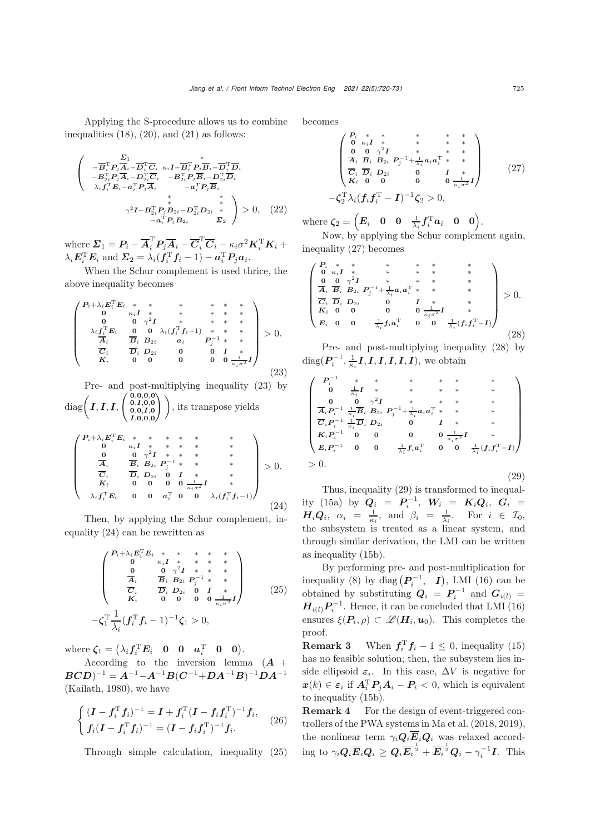Applying the S-procedure allows us to combine inequalities  $(18)$ ,  $(20)$ , and  $(21)$  as follows:

$$
\begin{pmatrix}\n\mathbf{\Sigma}_{1} & \mathbf{\Sigma}_{1} \\
-\overline{\mathbf{B}}_{i}^{\mathrm{T}} P_{j} \overline{\mathbf{A}}_{i} - \overline{\mathbf{D}}_{i}^{\mathrm{T}} \overline{\mathbf{C}}_{i} & \kappa_{i} I - \overline{\mathbf{B}}_{i}^{\mathrm{T}} P_{j} \overline{\mathbf{B}}_{i} - \overline{\mathbf{D}}_{i}^{\mathrm{T}} \overline{\mathbf{D}}_{i} \\
-\mathbf{B}_{2i}^{\mathrm{T}} P_{j} \overline{\mathbf{A}}_{i} - \mathbf{D}_{2i}^{\mathrm{T}} \overline{\mathbf{C}}_{i} & -\mathbf{B}_{2i}^{\mathrm{T}} P_{j} \overline{\mathbf{B}}_{i} - \mathbf{D}_{2i}^{\mathrm{T}} \overline{\mathbf{D}}_{i} \\
\lambda_{i} f_{i}^{\mathrm{T}} \mathbf{E}_{i} - \mathbf{a}_{i}^{\mathrm{T}} \mathbf{P}_{j} \overline{\mathbf{A}}_{i} & -\mathbf{a}_{i}^{\mathrm{T}} \mathbf{P}_{j} \overline{\mathbf{B}}_{i} \\
\star & \star \\
\gamma^{2} I - \mathbf{B}_{2i}^{\mathrm{T}} \mathbf{P}_{j} B_{2i} - \mathbf{D}_{2i}^{\mathrm{T}} \mathbf{D}_{2i} & \star \\
-\mathbf{a}_{i}^{\mathrm{T}} \mathbf{P}_{j} B_{2i} & \Sigma_{2}\n\end{pmatrix} > 0, (22)
$$

 $\text{where } \Sigma_1 = P_i - \overline{A}_i^{\text{T}} P_j \overline{A}_i - \overline{C}_i^{\text{T}} \overline{C}_i - \kappa_i \sigma^2 \boldsymbol{K}_i^{\text{T}} \boldsymbol{K}_i + \lambda_i \boldsymbol{E}_i^{\text{T}} \boldsymbol{E}_i \text{ and } \boldsymbol{\Sigma}_2 = \lambda_i (\boldsymbol{f}_i^{\text{T}} \boldsymbol{f}_i - 1) - \boldsymbol{a}_i^{\text{T}} P_j \boldsymbol{a}_i.$ 

When the Schur complement is used thrice, the above inequality becomes

<span id="page-5-0"></span>
$$
\begin{pmatrix}\nP_{i} + \lambda_{i} E_{i}^{\mathrm{T}} E_{i} & * & * & * & * & * & * \\
0 & \kappa_{i} I & * & * & * & * & * \\
0 & 0 & 0 & \gamma^{2} I & * & * & * & * \\
\lambda_{i} f_{i}^{\mathrm{T}} E_{i} & 0 & 0 & \lambda_{i} (f_{i}^{\mathrm{T}} f_{i} - 1) & * & * \\
\overline{A}_{i} & \overline{B}_{i} B_{2i} & a_{i} & P_{j}^{-1} & * & * \\
\overline{C}_{i} & \overline{D}_{i} D_{2i} & 0 & 0 & I & * \\
K_{i} & 0 & 0 & 0 & 0 & 0 & \frac{1}{\kappa_{i} \sigma^{2}} I\n\end{pmatrix} > 0.
$$
\n(23)

Pre- and post-multiplying inequality [\(23\)](#page-5-0) by  $\mathrm{diag}\Big(\textit{\textbf{I}},\textit{\textbf{I}},\textit{\textbf{I}},\textit{\textbf{I}}\Big)$  $\left( \begin{array}{c} 0,0,0,0\ 0,I,0,0\ 0,0,I,0\ 0,0,I,0\ I,0,0,0\ \end{array} \right)$ ), its transpose yields

<span id="page-5-1"></span>
$$
\begin{pmatrix}\nP_{i} + \lambda_{i} E_{i}^{\mathrm{T}} E_{i} & * & * & * & * & * & * \\
0 & \kappa_{i} I & * & * & * & * & * \\
\frac{0}{A_{i}} & \frac{0}{B_{i}} B_{2i} P_{j}^{-1} & * & * & * \\
\frac{0}{C_{i}} & \frac{0}{D_{i}} D_{2i} P_{j}^{-1} & * & * & * \\
K_{i} & 0 & 0 & 0 & \frac{1}{\kappa_{i} \sigma^{2}} I & * \\
\lambda_{i} f_{i}^{\mathrm{T}} E_{i} & 0 & 0 & \alpha_{i}^{\mathrm{T}} & 0 & 0 & \lambda_{i} (f_{i}^{\mathrm{T}} f_{i-1})\n\end{pmatrix} > 0.
$$
\n(24)

Then, by applying the Schur complement, inequality [\(24\)](#page-5-1) can be rewritten as

<span id="page-5-2"></span>
$$
-\zeta_{1}^{T} \frac{1}{\lambda_{i}} (f_{i}^{T} f_{i} - 1)^{-1} \zeta_{1} > 0,
$$
\n
$$
\begin{pmatrix}\nP_{i} + \lambda_{i} E_{i}^{T} E_{i} & * & * & * & * & * \\
0 & 0 & \gamma^{2} I & * & * & * \\
\frac{\sigma_{i}}{\sigma_{i}} & \frac{\sigma_{i}}{\sigma_{i}} B_{2i} P_{j}^{-1} & * & * \\
\frac{\sigma_{i}}{\sigma_{i}} & \frac{\sigma_{i}}{\sigma_{i}} D_{2i} & 0 & I & * \\
\frac{\sigma_{i}}{\sigma_{i}} & 0 & 0 & 0 & \frac{1}{\kappa_{i} \sigma^{2}} I\n\end{pmatrix}
$$
\n
$$
-\zeta_{1}^{T} \frac{1}{\lambda_{i}} (f_{i}^{T} f_{i} - 1)^{-1} \zeta_{1} > 0,
$$
\n
$$
(25)
$$

where  $\zeta_1 = (\lambda_i f_i^{\mathrm{T}} E_i \quad \mathbf{0} \quad \mathbf{0} \quad a_i^{\mathrm{T}} \quad \mathbf{0} \quad \mathbf{0}).$ 

According to the inversion lemma (*<sup>A</sup>* +  $BCD$ <sup>-1</sup> =  $A^{-1}-A^{-1}B(C^{-1}+DA^{-1}B)^{-1}DA^{-1}$ [\(Kailath, 1980\)](#page-10-26), we have

$$
\begin{cases} (I - f_i^{\mathrm{T}} f_i)^{-1} = I + f_i^{\mathrm{T}} (I - f_i f_i^{\mathrm{T}})^{-1} f_i, \\ f_i (I - f_i^{\mathrm{T}} f_i)^{-1} = (I - f_i f_i^{\mathrm{T}})^{-1} f_i. \end{cases} (26)
$$

Through simple calculation, inequality [\(25\)](#page-5-2)

becomes

<span id="page-5-3"></span>
$$
\begin{pmatrix}\nP_i & * & * & * & * & * & * \\
0 & \kappa_i I & * & * & * & * & * \\
\frac{\mathbf{a}}{\mathbf{A}_i} & \frac{\mathbf{b}}{\mathbf{B}_i} & \frac{\gamma^2 I}{\mathbf{B}_i} & * & * & * \\
\frac{\mathbf{a}}{\mathbf{C}_i} & \frac{\mathbf{b}}{\mathbf{D}_i} & \frac{\mathbf{b}}{\mathbf{D}_i} & 0 & I & * \\
K_i & 0 & 0 & 0 & 0 & \frac{1}{\kappa_i \sigma^2} I\n\end{pmatrix}
$$
\n
$$
-\zeta_2^{\mathrm{T}} \lambda_i (f_i f_i^{\mathrm{T}} - I)^{-1} \zeta_2 > 0,
$$
\n(27)

where  $\zeta_2 = \left(E_i \quad 0 \quad 0 \quad \frac{1}{\lambda_i} f_i^{\mathrm{T}} a_i \quad 0 \quad 0\right)$ .

Now, by applying the Schur complement again, inequality [\(27\)](#page-5-3) becomes

<span id="page-5-4"></span>
$$
\begin{pmatrix}\nP_i & * & * & * & * & * & * \\
0 & \kappa_i I & * & * & * & * & * \\
\frac{0}{A_i} & \frac{0}{B_i} & B_{2i} & P_j^{-1} + \frac{1}{\lambda_i} a_i a_i^T & * & * & * \\
\frac{C_i}{C_i} & \frac{D_i}{D_i} & D_{2i} & 0 & I & * & * \\
K_i & 0 & 0 & 0 & 0 & \frac{1}{\kappa_i \sigma^2} I & * \\
E_i & 0 & 0 & \frac{1}{\lambda_i} f_i a_i^T & 0 & 0 & \frac{1}{\lambda_i} (f_i f_i^T - I)\n\end{pmatrix} > 0.
$$
\n(28)

Pre- and post-multiplying inequality [\(28\)](#page-5-4) by  $diag(P_i^{-1}, \frac{1}{\kappa_i}I, I, I, I, I, I, I)$ , we obtain

<span id="page-5-5"></span>
$$
\begin{pmatrix}\nP_i^{-1} & * & * & * & * & * & * & * \\
0 & \frac{1}{k_i}I & * & * & * & * & * & * \\
0 & 0 & \gamma^2I & * & * & * & * & * \\
\frac{1}{A_i}P_i^{-1} & \frac{1}{k_i}\overline{B}_i & B_{2i} & P_j^{-1} + \frac{1}{\lambda_i}a_i a_i^T & * & * & * \\
\overline{C}_i P_i^{-1} & \frac{1}{k_i}\overline{D}_i & D_{2i} & 0 & I & * & * \\
K_i P_i^{-1} & 0 & 0 & 0 & 0 & \frac{1}{k_i\sigma^2}I & * \\
E_i P_i^{-1} & 0 & 0 & \frac{1}{\lambda_i} f_i a_i^T & 0 & 0 & \frac{1}{\lambda_i} (f_i f_i^T - I) \\
> 0. & (29)\n\end{pmatrix}
$$

Thus, inequality [\(29\)](#page-5-5) is transformed to inequal-ity [\(15a\)](#page-4-5) by  $Q_i = P_i^{-1}$ ,  $W_i = K_i Q_i$ ,  $G_i = H Q_i$ ,  $\theta_i = \frac{1}{\pi} \int_R P_i Q_i$  $H_i Q_i$ ,  $\alpha_i = \frac{1}{\kappa_i}$ , and  $\beta_i = \frac{1}{\lambda_i}$ . For  $i \in \mathcal{I}_0$ ,<br>the subsystem is treated as a linear system, and the subsystem is treated as a linear system, and through similar derivation, the LMI can be written as inequality [\(15b\)](#page-4-6).

By performing pre- and post-multiplication for inequality [\(8\)](#page-3-6) by diag  $(P_i^{-1}, I)$ , LMI [\(16\)](#page-4-7) can be obtained by substituting  $Q_i = P_i^{-1}$  and  $G_{i(l)} =$ <br>**H** ... **P**<sup>-1</sup> Honge it can be concluded that LMI (16)  $H_{i(l)}P_i^{-1}$ . Hence, it can be concluded that LMI [\(16\)](#page-4-7) ensures  $\xi(P_i, \rho) \subset \mathscr{L}(H_i, u_0)$ . This completes the proof.

**Remark 3** When  $f_i^T f_i - 1 \le 0$ , inequality (15) has no feasible solution; then the subsystem lies in has no feasible solution; then, the subsystem lies inside ellipsoid  $\varepsilon_i$ . In this case,  $\Delta V$  is negative for  $x(k) \in \varepsilon_i$  if  $A_i^T P_j A_i - P_i < 0$ , which is equivalent to inequality [\(15b\)](#page-4-6).

Remark 4 For the design of event-triggered controllers of the PWA systems in [Ma et al.](#page-10-16) [\(2018,](#page-10-16) [2019\)](#page-10-18), the nonlinear term  $\gamma_i \mathbf{Q}_i \overline{\mathbf{E}}_i \mathbf{Q}_i$  was relaxed according to  $\gamma_i \mathbf{Q}_i \overline{\mathbf{E}}_i \mathbf{Q}_i \ge \mathbf{Q}_i \overline{\mathbf{E}_i}^{\frac{1}{2}} + \overline{\mathbf{E}_i}^{\frac{1}{2}} \mathbf{Q}_i - \gamma_i^{-1} \mathbf{I}$ . This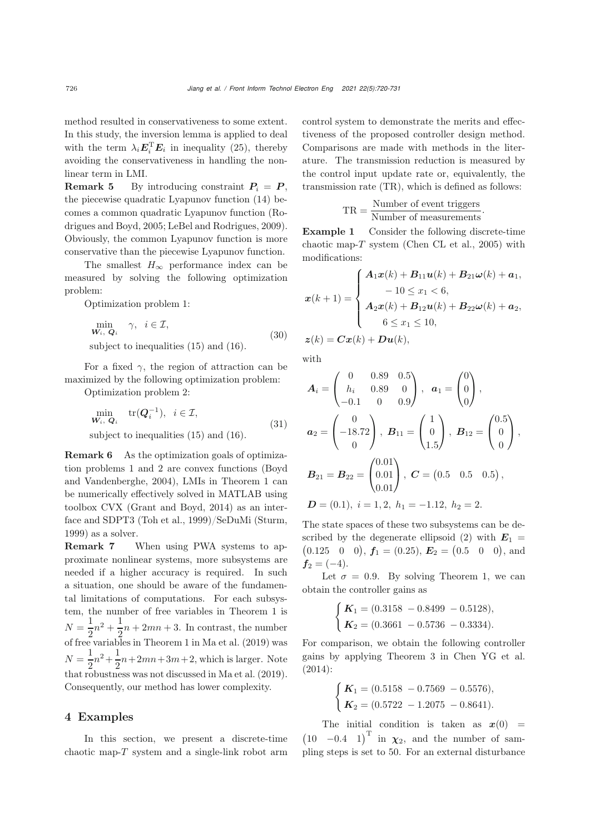method resulted in conservativeness to some extent. In this study, the inversion lemma is applied to deal with the term  $\lambda_i \mathbf{E}_i^{\mathrm{T}} \mathbf{E}_i$  in inequality [\(25\)](#page-5-2), thereby avoiding the conservativeness in handling the nonlinear term in LMI.

**Remark 5** By introducing constraint  $P_i = P$ , the piecewise quadratic Lyapunov function [\(14\)](#page-4-0) becomes a common [quadratic](#page-10-21) [Lyapunov](#page-10-21) [function](#page-10-21) [\(](#page-10-21)Rodrigues and Boyd, [2005;](#page-10-21) [LeBel and Rodrigues, 2009\)](#page-10-27). Obviously, the common Lyapunov function is more conservative than the piecewise Lyapunov function.

The smallest  $H_{\infty}$  performance index can be measured by solving the following optimization problem:

Optimization problem 1:

$$
\min_{\mathbf{W}_i, \ \mathbf{Q}_i} \quad \gamma, \ \ i \in \mathcal{I},
$$
\nsubject to inequalities (15) and (16). (30)

For a fixed  $\gamma$ , the region of attraction can be maximized by the following optimization problem:

Optimization problem 2:

$$
\min_{\mathbf{W}_i, \ \mathbf{Q}_i} \text{tr}(\mathbf{Q}_i^{-1}), \ i \in \mathcal{I},
$$
\n
$$
\text{subject to inequalities (15) and (16).} \tag{31}
$$

Remark 6 As the optimization goals of optimization problems 1 a[nd](#page-10-24) [2](#page-10-24) [are](#page-10-24) [convex](#page-10-24) [functions](#page-10-24) [\(](#page-10-24)Boyd and Vandenberghe, [2004\)](#page-10-24), LMIs in Theorem 1 can be numerically effectively solved in MATLAB using toolbox CVX [\(Grant and Boyd, 2014](#page-10-28)) as an interface and SDPT3 [\(Toh et al.](#page-11-5), [1999\)](#page-11-5)/SeDuMi [\(Sturm](#page-10-29), [1999](#page-10-29)) as a solver.

Remark 7 When using PWA systems to approximate nonlinear systems, more subsystems are needed if a higher accuracy is required. In such a situation, one should be aware of the fundamental limitations of computations. For each subsystem, the number of free variables in Theorem 1 is  $N = \frac{1}{2}n^2 + \frac{1}{2}$ <br>of free variabl  $N = \frac{1}{2}n^2 + \frac{1}{2}n + 2mn + 3$ . In contrast, the number<br>of free variables in Theorem 1 in [Ma et al.](#page-10-18) [\(2019](#page-10-18)) was  $N = \frac{1}{2}n^2 + \frac{1}{2}n + 2mn + 3m + 2$ , which is larger. Note 2 2 that robustness was not discussed in [Ma et al.](#page-10-18) [\(2019\)](#page-10-18). Consequently, our method has lower complexity.

## 4 Examples

In this section, we present a discrete-time chaotic map- $T$  system and a single-link robot arm control system to demonstrate the merits and effectiveness of the proposed controller design method. Comparisons are made with methods in the literature. The transmission reduction is measured by the control input update rate or, equivalently, the transmission rate (TR), which is defined as follows:

$$
TR = \frac{Number\ of\ event\ triggers}{Number\ of\ measurements}.
$$

Example 1 Consider the following discrete-time chaotic map- $T$  system [\(Chen CL et al., 2005](#page-10-30)) with modifications:

$$
x(k+1) = \begin{cases} A_1x(k) + B_{11}u(k) + B_{21}\omega(k) + a_1, \\ -10 \le x_1 < 6, \\ A_2x(k) + B_{12}u(k) + B_{22}\omega(k) + a_2, \\ 6 \le x_1 \le 10, \end{cases}
$$
  

$$
z(k) = Cx(k) + Du(k),
$$

with

$$
A_{i} = \begin{pmatrix} 0 & 0.89 & 0.5 \\ h_{i} & 0.89 & 0 \\ -0.1 & 0 & 0.9 \end{pmatrix}, \quad a_{1} = \begin{pmatrix} 0 \\ 0 \\ 0 \end{pmatrix},
$$

$$
a_{2} = \begin{pmatrix} 0 \\ -18.72 \\ 0 \end{pmatrix}, \quad B_{11} = \begin{pmatrix} 1 \\ 0 \\ 1.5 \end{pmatrix}, \quad B_{12} = \begin{pmatrix} 0.5 \\ 0 \\ 0 \end{pmatrix},
$$

$$
B_{21} = B_{22} = \begin{pmatrix} 0.01 \\ 0.01 \\ 0.01 \end{pmatrix}, \quad C = \begin{pmatrix} 0.5 & 0.5 & 0.5 \end{pmatrix},
$$

$$
D = (0.1), \quad i = 1, 2, \quad h_{1} = -1.12, \quad h_{2} = 2.
$$

The state spaces of these two subsystems can be de-scribed by the degenerate ellipsoid [\(2\)](#page-2-3) with  $E_1 = (0.125 \ 0 \ 0), f_1 = (0.25), E_2 = (0.5 \ 0 \ 0),$  and  $(0.125 \t 0 \t 0), f_1 = (0.25), E_2 = (0.5 \t 0 \t 0), \text{ and}$ <br> $f_1 = (-4)$  $f_2 = (-4)$ .

Let  $\sigma = 0.9$ . By solving Theorem 1, we can obtain the controller gains as

$$
\begin{cases}\n\boldsymbol{K}_1 = (0.3158 - 0.8499 - 0.5128), \\
\boldsymbol{K}_2 = (0.3661 - 0.5736 - 0.3334).\n\end{cases}
$$

For comparison, we obtain the following controller gains by applying Theorem 3 in [Chen YG et al.](#page-10-19) [\(2014](#page-10-19)):

$$
\begin{cases}\n\boldsymbol{K}_1 = (0.5158 - 0.7569 - 0.5576), \\
\boldsymbol{K}_2 = (0.5722 - 1.2075 - 0.8641).\n\end{cases}
$$

The initial condition is taken as  $x(0) = (10 \t -0.4 \t 1)^T$  in  $\chi_2$ , and the number of sam-<br>pling stops is set to 50. For an external disturbance pling steps is set to 50. For an external disturbance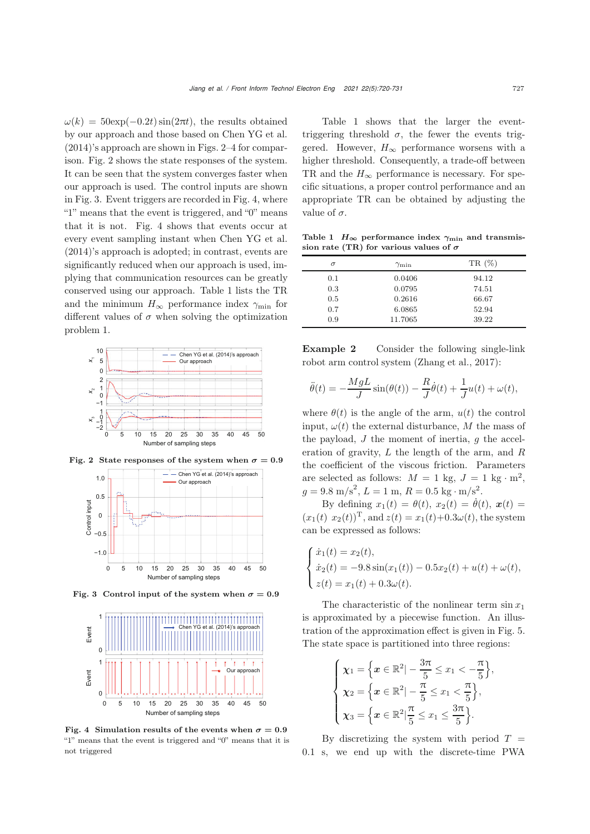$\omega(k) = 50 \exp(-0.2t) \sin(2\pi t)$ , the results obtained by our approach and those based on [Chen YG et al.](#page-10-19) [\(2014](#page-10-19))'s approach are shown in Figs. [2](#page-7-0)[–4](#page-7-1) for comparison. Fig. [2](#page-7-0) shows the state responses of the system. It can be seen that the system converges faster when our approach is used. The control inputs are shown in Fig. [3.](#page-7-2) Event triggers are recorded in Fig. [4,](#page-7-1) where "1" means that the event is triggered, and "0" means that it is not. Fig. [4](#page-7-1) shows that events occur at every event sampling instant when [Chen YG et al.](#page-10-19) [\(2014](#page-10-19))'s approach is adopted; in contrast, events are significantly reduced when our approach is used, implying that communication resources can be greatly conserved using our approach. Table [1](#page-7-3) lists the TR and the minimum  $H_{\infty}$  performance index  $\gamma_{\min}$  for different values of  $\sigma$  when solving the optimization problem 1.





<span id="page-7-0"></span>

Fig. 3 Control input of the system when  $\sigma = 0.9$ 

<span id="page-7-2"></span>

<span id="page-7-1"></span>Fig. 4 Simulation results of the events when  $\sigma = 0.9$ "1" means that the event is triggered and "0" means that it is not triggered

Table [1](#page-7-3) shows that the larger the eventtriggering threshold  $\sigma$ , the fewer the events triggered. However,  $H_{\infty}$  performance worsens with a higher threshold. Consequently, a trade-off between TR and the  $H_{\infty}$  performance is necessary. For specific situations, a proper control performance and an appropriate TR can be obtained by adjusting the value of  $\sigma$ .

Table 1  $H_{\infty}$  performance index  $\gamma_{\text{min}}$  and transmission rate (TR) for various values of *σ*

<span id="page-7-3"></span>

| $\sigma$ | $\gamma_{\rm min}$ | $TR(\%)$ |
|----------|--------------------|----------|
| 0.1      | 0.0406             | 94.12    |
| 0.3      | 0.0795             | 74.51    |
| 0.5      | 0.2616             | 66.67    |
| 0.7      | 6.0865             | 52.94    |
| 0.9      | 11.7065            | 39.22    |

Example 2 Consider the following single-link robot arm control system [\(Zhang et al., 2017](#page-11-6)):

$$
\ddot{\theta}(t) = -\frac{MgL}{J}\sin(\theta(t)) - \frac{R}{J}\dot{\theta}(t) + \frac{1}{J}u(t) + \omega(t),
$$

where  $\theta(t)$  is the angle of the arm,  $u(t)$  the control input,  $\omega(t)$  the external disturbance, M the mass of the payload,  $J$  the moment of inertia,  $g$  the acceleration of gravity,  $L$  the length of the arm, and  $R$ the coefficient of the viscous friction. Parameters are selected as follows:  $M = 1$  kg,  $J = 1$  kg · m<sup>2</sup>,  $g = 9.8 \text{ m/s}^2, L = 1 \text{ m}, R = 0.5 \text{ kg} \cdot \text{m/s}^2.$ <br>Prodefining  $g(t) = \frac{g(t)}{g(t)} g(t) = \frac{\dot{g}(t)}{g(t)}$ 

By defining  $x_1(t) = \theta(t), x_2(t) = \theta(t), \mathbf{x}(t) =$ <br>  $\theta(t) = \theta(t) + \theta(t) + \theta(t)$  $(x_1(t), x_2(t))^T$ , and  $z(t) = x_1(t) + 0.3\omega(t)$ , the system can be expressed as follows:

$$
\begin{cases}\n\dot{x}_1(t) = x_2(t), \\
\dot{x}_2(t) = -9.8 \sin(x_1(t)) - 0.5x_2(t) + u(t) + \omega(t), \\
z(t) = x_1(t) + 0.3\omega(t).\n\end{cases}
$$

The characteristic of the nonlinear term  $\sin x_1$ is approximated by a piecewise function. An illustration of the approximation effect is given in Fig. [5.](#page-8-0) The state space is partitioned into three regions:

$$
\begin{cases}\n\chi_1 = \left\{ x \in \mathbb{R}^2 \middle| -\frac{3\pi}{5} \le x_1 < -\frac{\pi}{5} \right\}, \\
\chi_2 = \left\{ x \in \mathbb{R}^2 \middle| -\frac{\pi}{5} \le x_1 < \frac{\pi}{5} \right\}, \\
\chi_3 = \left\{ x \in \mathbb{R}^2 \middle| \frac{\pi}{5} \le x_1 \le \frac{3\pi}{5} \right\}.\n\end{cases}
$$

By discretizing the system with period  $T =$ 0.1 s, we end up with the discrete-time PWA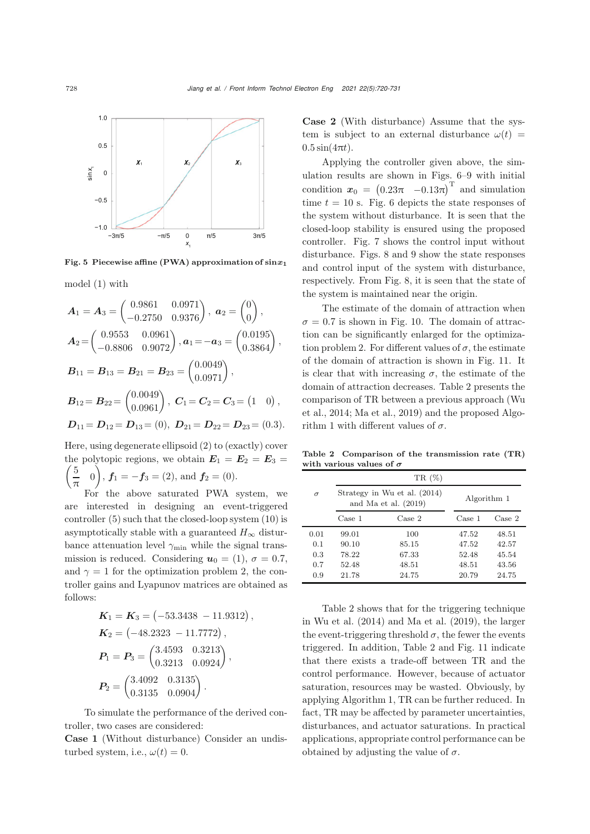

<span id="page-8-0"></span>Fig. 5 Piecewise affine (PWA) approximation of sin*x***<sup>1</sup>**

model [\(1\)](#page-1-0) with

$$
A_1 = A_3 = \begin{pmatrix} 0.9861 & 0.0971 \\ -0.2750 & 0.9376 \end{pmatrix}, \ a_2 = \begin{pmatrix} 0 \\ 0 \end{pmatrix},
$$
  
\n
$$
A_2 = \begin{pmatrix} 0.9553 & 0.0961 \\ -0.8806 & 0.9072 \end{pmatrix}, a_1 = -a_3 = \begin{pmatrix} 0.0195 \\ 0.3864 \end{pmatrix},
$$
  
\n
$$
B_{11} = B_{13} = B_{21} = B_{23} = \begin{pmatrix} 0.0049 \\ 0.0971 \end{pmatrix},
$$
  
\n
$$
B_{12} = B_{22} = \begin{pmatrix} 0.0049 \\ 0.0961 \end{pmatrix}, \ C_1 = C_2 = C_3 = \begin{pmatrix} 1 & 0 \end{pmatrix},
$$
  
\n
$$
D_{11} = D_{12} = D_{13} = \begin{pmatrix} 0, D_{21} = D_{22} = D_{23} = \begin{pmatrix} 0.3 \end{pmatrix}.
$$

Here, using degenerate ellipsoid [\(2\)](#page-2-3) to (exactly) cover the polytopic regions, we obtain the polytopic regions, we obtain  $\mathbf{E}_1 = \mathbf{E}_2 = \mathbf{E}_3 = \begin{pmatrix} 5 & 0 \end{pmatrix}$  $\frac{1}{\pi}$  0  $\left(\frac{5}{\pi}\right)$  $f_1 = -f_3 = (2)$ , and  $f_2 = (0)$ .

For the above saturated PWA system, we are interested in designing an event-triggered controller [\(5\)](#page-2-4) such that the closed-loop system [\(10\)](#page-3-4) is asymptotically stable with a guaranteed  $H_{\infty}$  disturbance attenuation level  $\gamma_{\rm min}$  while the signal transmission is reduced. Considering  $u_0 = (1), \sigma = 0.7$ , and  $\gamma = 1$  for the optimization problem 2, the controller gains and Lyapunov matrices are obtained as follows:

$$
K_1 = K_3 = (-53.3438 - 11.9312),
$$
  
\n
$$
K_2 = (-48.2323 - 11.7772),
$$
  
\n
$$
P_1 = P_3 = \begin{pmatrix} 3.4593 & 0.3213 \\ 0.3213 & 0.0924 \end{pmatrix},
$$
  
\n
$$
P_2 = \begin{pmatrix} 3.4092 & 0.3135 \\ 0.3135 & 0.0904 \end{pmatrix}.
$$

To simulate the performance of the derived controller, two cases are considered:

Case 1 (Without disturbance) Consider an undisturbed system, i.e.,  $\omega(t)=0$ .

Case 2 (With disturbance) Assume that the system is subject to an external disturbance  $\omega(t)$  =  $0.5\sin(4\pi t)$ .

Applying the controller given above, the simulation results are shown in Figs. [6](#page-9-3)[–9](#page-9-4) with initial condition  $x_0 = (0.23\pi - 0.13\pi)^T$  and simulation<br>time  $t = 10.8$  Fig. 6 depicts the state represented time  $t = 10$  s. Fig. [6](#page-9-3) depicts the state responses of the system without disturbance. It is seen that the closed-loop stability is ensured using the proposed controller. Fig. [7](#page-9-5) shows the control input without disturbance. Figs. [8](#page-9-6) and [9](#page-9-4) show the state responses and control input of the system with disturbance, respectively. From Fig. [8,](#page-9-6) it is seen that the state of the system is maintained near the origin.

The estimate of the domain of attraction when  $\sigma = 0.7$  is shown in Fig. [10.](#page-9-7) The domain of attraction can be significantly enlarged for the optimization problem 2. For different values of  $\sigma$ , the estimate of the domain of attraction is shown in Fig. [11.](#page-9-8) It is clear that with increasing  $\sigma$ , the estimate of the domain of attraction decreases. Table [2](#page-8-1) presents the com[parison](#page-11-2) [of](#page-11-2) [TR](#page-11-2) [between](#page-11-2) [a](#page-11-2) [previous](#page-11-2) [approach](#page-11-2) [\(](#page-11-2)Wu et al., [2014;](#page-11-2) [Ma et al., 2019\)](#page-10-18) and the proposed Algorithm 1 with different values of  $\sigma$ .

Table 2 Comparison of the transmission rate (TR) with various values of *σ*

<span id="page-8-1"></span>

|          | $TR(\%)$                                               |        |             |        |
|----------|--------------------------------------------------------|--------|-------------|--------|
| $\sigma$ | Strategy in Wu et al. (2014)<br>and Ma et al. $(2019)$ |        | Algorithm 1 |        |
|          | Case 1                                                 | Case 2 | Case 1      | Case 2 |
| 0.01     | 99.01                                                  | 100    | 47.52       | 48.51  |
| 0.1      | 90.10                                                  | 85.15  | 47.52       | 42.57  |
| 0.3      | 78.22                                                  | 67.33  | 52.48       | 45.54  |
| 0.7      | 52.48                                                  | 48.51  | 48.51       | 43.56  |
| 0.9      | 21.78                                                  | 24.75  | 20.79       | 24.75  |

Table [2](#page-8-1) shows that for the triggering technique in Wu et al. (2014) and Ma et al. (2019), the larger the event-triggering threshold  $\sigma$ , the fewer the events triggered. In addition, Table [2](#page-8-1) and Fig. [11](#page-9-8) indicate that there exists a trade-off between TR and the control performance. However, because of actuator saturation, resources may be wasted. Obviously, by applying Algorithm 1, TR can be further reduced. In fact, TR may be affected by parameter uncertainties, disturbances, and actuator saturations. In practical applications, appropriate control performance can be obtained by adjusting the value of  $\sigma$ .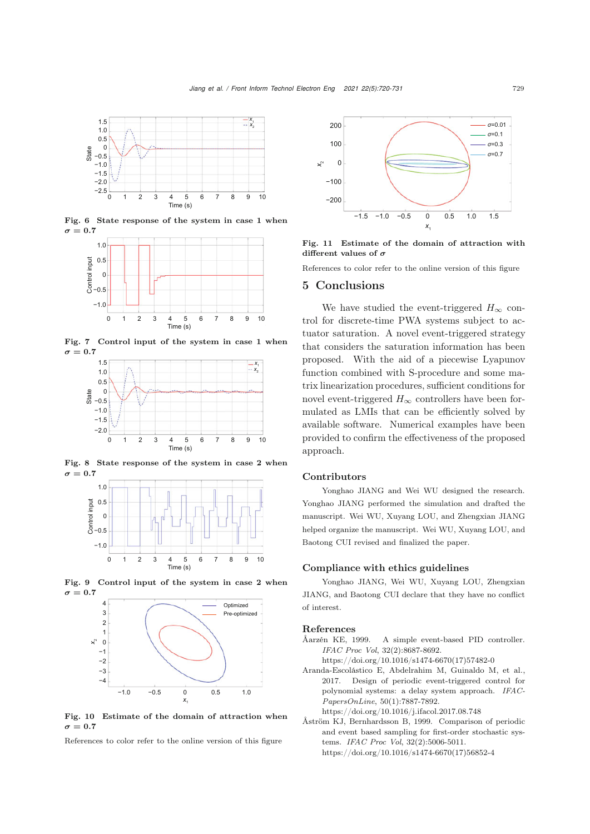

Fig. 6 State response of the system in case 1 when  $\sigma = 0.7$ 

<span id="page-9-3"></span>

Fig. 7 Control input of the system in case 1 when  $\sigma = 0.7$ 

<span id="page-9-5"></span>

Fig. 8 State response of the system in case 2 when  $\sigma = 0.7$ 

<span id="page-9-6"></span>



<span id="page-9-4"></span>

<span id="page-9-7"></span>Fig. 10 Estimate of the domain of attraction when  $\sigma = 0.7$ 

References to color refer to the online version of this figure



<span id="page-9-8"></span>Fig. 11 Estimate of the domain of attraction with different values of *σ*

References to color refer to the online version of this figure

#### 5 Conclusions

We have studied the event-triggered  $H_{\infty}$  control for discrete-time PWA systems subject to actuator saturation. A novel event-triggered strategy that considers the saturation information has been proposed. With the aid of a piecewise Lyapunov function combined with S-procedure and some matrix linearization procedures, sufficient conditions for novel event-triggered  $H_{\infty}$  controllers have been formulated as LMIs that can be efficiently solved by available software. Numerical examples have been provided to confirm the effectiveness of the proposed approach.

#### Contributors

Yonghao JIANG and Wei WU designed the research. Yonghao JIANG performed the simulation and drafted the manuscript. Wei WU, Xuyang LOU, and Zhengxian JIANG helped organize the manuscript. Wei WU, Xuyang LOU, and Baotong CUI revised and finalized the paper.

#### Compliance with ethics guidelines

Yonghao JIANG, Wei WU, Xuyang LOU, Zhengxian JIANG, and Baotong CUI declare that they have no conflict of interest.

#### References

- <span id="page-9-0"></span>Åarzén KE, 1999. A simple event-based PID controller. *IFAC Proc Vol*, 32(2):8687-8692.
	- https://doi.org/10.1016/s1474-6670(17)57482-0
- <span id="page-9-2"></span>Aranda-Escolástico E, Abdelrahim M, Guinaldo M, et al., 2017. Design of periodic event-triggered control for polynomial systems: a delay system approach. *IFAC-PapersOnLine*, 50(1):7887-7892.
	- https://doi.org/10.1016/j.ifacol.2017.08.748
- <span id="page-9-1"></span>Åström KJ, Bernhardsson B, 1999. Comparison of periodic and event based sampling for first-order stochastic systems. *IFAC Proc Vol*, 32(2):5006-5011. https://doi.org/10.1016/s1474-6670(17)56852-4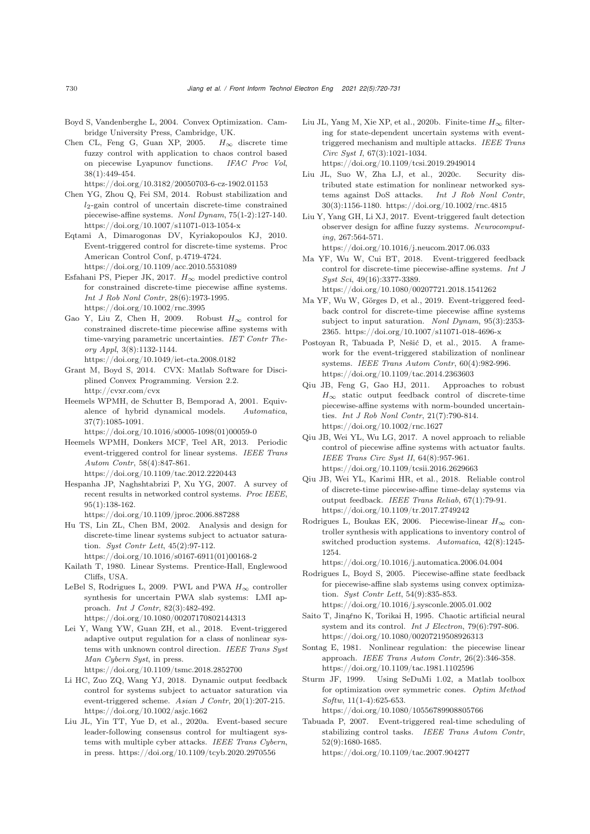- <span id="page-10-24"></span>Boyd S, Vandenberghe L, 2004. Convex Optimization. Cambridge University Press, Cambridge, UK.
- <span id="page-10-30"></span>Chen CL, Feng G, Guan XP, 2005.  $H_{\infty}$  discrete time fuzzy control with application to chaos control based on piecewise Lyapunov functions. *IFAC Proc Vol*, 38(1):449-454.

https://doi.org/10.3182/20050703-6-cz-1902.01153

- <span id="page-10-19"></span>Chen YG, Zhou Q, Fei SM, 2014. Robust stabilization and  $l_2$ -gain control of uncertain discrete-time constrained piecewise-affine systems. *Nonl Dynam*, 75(1-2):127-140. https://doi.org/10.1007/s11071-013-1054-x
- <span id="page-10-8"></span>Eqtami A, Dimarogonas DV, Kyriakopoulos KJ, 2010. Event-triggered control for discrete-time systems. Proc American Control Conf, p.4719-4724. https://doi.org/10.1109/acc.2010.5531089
- <span id="page-10-14"></span>Esfahani PS, Pieper JK, 2017.  $H_{\infty}$  model predictive control for constrained discrete-time piecewise affine systems. *Int J Rob Nonl Contr*, 28(6):1973-1995. https://doi.org/10.1002/rnc.3995
- <span id="page-10-20"></span>Gao Y, Liu Z, Chen H, 2009. Robust  $H_{\infty}$  control for constrained discrete-time piecewise affine systems with time-varying parametric uncertainties. *IET Contr Theory Appl*, 3(8):1132-1144. https://doi.org/10.1049/iet-cta.2008.0182
- <span id="page-10-28"></span>Grant M, Boyd S, 2014. CVX: Matlab Software for Disciplined Convex Programming. Version 2.2. http://cvxr.com/cvx
- <span id="page-10-10"></span>Heemels WPMH, de Schutter B, Bemporad A, 2001. Equivalence of hybrid dynamical models. *Automatica*, 37(7):1085-1091.

https://doi.org/10.1016/s0005-1098(01)00059-0

- <span id="page-10-5"></span>Heemels WPMH, Donkers MCF, Teel AR, 2013. Periodic event-triggered control for linear systems. *IEEE Trans Autom Contr*, 58(4):847-861. https://doi.org/10.1109/tac.2012.2220443
- <span id="page-10-1"></span>Hespanha JP, Naghshtabrizi P, Xu YG, 2007. A survey of recent results in networked control systems. *Proc IEEE*, 95(1):138-162.
	- https://doi.org/10.1109/jproc.2006.887288
- <span id="page-10-23"></span>Hu TS, Lin ZL, Chen BM, 2002. Analysis and design for discrete-time linear systems subject to actuator saturation. *Syst Contr Lett*, 45(2):97-112. https://doi.org/10.1016/s0167-6911(01)00168-2
- <span id="page-10-26"></span>Kailath T, 1980. Linear Systems. Prentice-Hall, Englewood Cliffs, USA.
- <span id="page-10-27"></span>LeBel S, Rodrigues L, 2009. PWL and PWA  $H_{\infty}$  controller synthesis for uncertain PWA slab systems: LMI approach. *Int J Contr*, 82(3):482-492. https://doi.org/10.1080/00207170802144313
- <span id="page-10-4"></span>Lei Y, Wang YW, Guan ZH, et al., 2018. Event-triggered adaptive output regulation for a class of nonlinear systems with unknown control direction. *IEEE Trans Syst Man Cybern Syst*, in press.
	- https://doi.org/10.1109/tsmc.2018.2852700
- <span id="page-10-17"></span>Li HC, Zuo ZQ, Wang YJ, 2018. Dynamic output feedback control for systems subject to actuator saturation via event-triggered scheme. *Asian J Contr*, 20(1):207-215. https://doi.org/10.1002/asjc.1662
- <span id="page-10-7"></span>Liu JL, Yin TT, Yue D, et al., 2020a. Event-based secure leader-following consensus control for multiagent systems with multiple cyber attacks. *IEEE Trans Cybern*, in press. https://doi.org/10.1109/tcyb.2020.2970556
- <span id="page-10-3"></span>Liu JL, Yang M, Xie XP, et al., 2020b. Finite-time  $H_{\infty}$  filtering for state-dependent uncertain systems with eventtriggered mechanism and multiple attacks. *IEEE Trans Circ Syst I*, 67(3):1021-1034. https://doi.org/10.1109/tcsi.2019.2949014
- <span id="page-10-6"></span>Liu JL, Suo W, Zha LJ, et al., 2020c. Security distributed state estimation for nonlinear networked systems against DoS attacks. *Int J Rob Nonl Contr*, 30(3):1156-1180. https://doi.org/10.1002/rnc.4815
- <span id="page-10-15"></span>Liu Y, Yang GH, Li XJ, 2017. Event-triggered fault detection observer design for affine fuzzy systems. *Neurocomputing*, 267:564-571. https://doi.org/10.1016/j.neucom.2017.06.033
- <span id="page-10-16"></span>Ma YF, Wu W, Cui BT, 2018. Event-triggered feedback control for discrete-time piecewise-affine systems. *Int J Syst Sci*, 49(16):3377-3389. https://doi.org/10.1080/00207721.2018.1541262
- <span id="page-10-18"></span>Ma YF, Wu W, Görges D, et al., 2019. Event-triggered feedback control for discrete-time piecewise affine systems subject to input saturation. *Nonl Dynam*, 95(3):2353- 2365. https://doi.org/10.1007/s11071-018-4696-x
- <span id="page-10-0"></span>Postoyan R, Tabuada P, Nešić D, et al., 2015. A framework for the event-triggered stabilization of nonlinear systems. *IEEE Trans Autom Contr*, 60(4):982-996. https://doi.org/10.1109/tac.2014.2363603
- <span id="page-10-25"></span>Qiu JB, Feng G, Gao HJ, 2011. Approaches to robust  $H_\infty$  static output feedback control of discrete-time piecewise-affine systems with norm-bounded uncertainties. *Int J Rob Nonl Contr*, 21(7):790-814. https://doi.org/10.1002/rnc.1627
- <span id="page-10-13"></span>Qiu JB, Wei YL, Wu LG, 2017. A novel approach to reliable control of piecewise affine systems with actuator faults. *IEEE Trans Circ Syst II*, 64(8):957-961. https://doi.org/10.1109/tcsii.2016.2629663
- <span id="page-10-12"></span>Qiu JB, Wei YL, Karimi HR, et al., 2018. Reliable control of discrete-time piecewise-affine time-delay systems via output feedback. *IEEE Trans Reliab*, 67(1):79-91. https://doi.org/10.1109/tr.2017.2749242
- <span id="page-10-22"></span>Rodrigues L, Boukas EK, 2006. Piecewise-linear  $H_{\infty}$  controller synthesis with applications to inventory control of switched production systems. *Automatica*, 42(8):1245- 1254.

https://doi.org/10.1016/j.automatica.2006.04.004

- <span id="page-10-21"></span>Rodrigues L, Boyd S, 2005. Piecewise-affine state feedback for piecewise-affine slab systems using convex optimization. *Syst Contr Lett*, 54(9):835-853. https://doi.org/10.1016/j.sysconle.2005.01.002
- <span id="page-10-9"></span>Saito T, Jinąŕno K, Torikai H, 1995. Chaotic artificial neural system and its control. *Int J Electron*, 79(6):797-806. https://doi.org/10.1080/00207219508926313
- <span id="page-10-11"></span>Sontag E, 1981. Nonlinear regulation: the piecewise linear approach. *IEEE Trans Autom Contr*, 26(2):346-358. https://doi.org/10.1109/tac.1981.1102596
- <span id="page-10-29"></span>Sturm JF, 1999. Using SeDuMi 1.02, a Matlab toolbox for optimization over symmetric cones. *Optim Method Softw*, 11(1-4):625-653. https://doi.org/10.1080/10556789908805766
- <span id="page-10-2"></span>Tabuada P, 2007. Event-triggered real-time scheduling of stabilizing control tasks. *IEEE Trans Autom Contr*, 52(9):1680-1685. https://doi.org/10.1109/tac.2007.904277